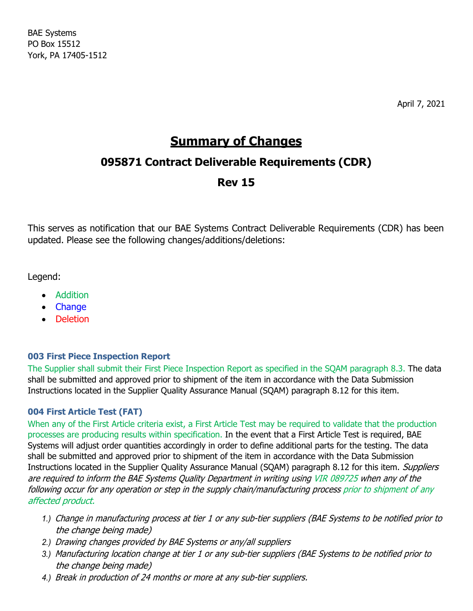BAE Systems PO Box 15512 York, PA 17405-1512

April 7, 2021

# **Summary of Changes**

## **095871 Contract Deliverable Requirements (CDR)**

## **Rev 15**

This serves as notification that our BAE Systems Contract Deliverable Requirements (CDR) has been updated. Please see the following changes/additions/deletions:

Legend:

- Addition
- Change
- Deletion

## **003 First Piece Inspection Report**

The Supplier shall submit their First Piece Inspection Report as specified in the SQAM paragraph 8.3. The data shall be submitted and approved prior to shipment of the item in accordance with the Data Submission Instructions located in the Supplier Quality Assurance Manual (SQAM) paragraph 8.12 for this item.

## **004 First Article Test (FAT)**

When any of the First Article criteria exist, a First Article Test may be required to validate that the production processes are producing results within specification. In the event that a First Article Test is required, BAE Systems will adjust order quantities accordingly in order to define additional parts for the testing. The data shall be submitted and approved prior to shipment of the item in accordance with the Data Submission Instructions located in the Supplier Quality Assurance Manual (SQAM) paragraph 8.12 for this item. Suppliers are required to inform the BAE Systems Quality Department in writing using VIR 089725 when any of the following occur for any operation or step in the supply chain/manufacturing process prior to shipment of any affected product.

- *1.)* Change in manufacturing process at tier 1 or any sub-tier suppliers (BAE Systems to be notified prior to the change being made)
- *2.)* Drawing changes provided by BAE Systems or any/all suppliers
- *3.)* Manufacturing location change at tier 1 or any sub-tier suppliers (BAE Systems to be notified prior to the change being made)
- *4.)* Break in production of 24 months or more at any sub-tier suppliers.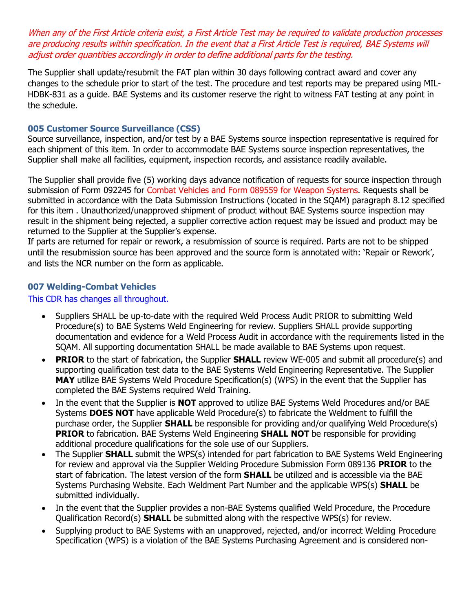When any of the First Article criteria exist, a First Article Test may be required to validate production processes are producing results within specification. In the event that <sup>a</sup> First Article Test is required, BAE Systems will adjust order quantities accordingly in order to define additional parts for the testing.

The Supplier shall update/resubmit the FAT plan within 30 days following contract award and cover any changes to the schedule prior to start of the test. The procedure and test reports may be prepared using MIL-HDBK-831 as a guide. BAE Systems and its customer reserve the right to witness FAT testing at any point in the schedule.

#### **005 Customer Source Surveillance (CSS)**

Source surveillance, inspection, and/or test by a BAE Systems source inspection representative is required for each shipment of this item. In order to accommodate BAE Systems source inspection representatives, the Supplier shall make all facilities, equipment, inspection records, and assistance readily available.

The Supplier shall provide five (5) working days advance notification of requests for source inspection through submission of Form 092245 for Combat Vehicles and Form 089559 for Weapon Systems. Requests shall be submitted in accordance with the Data Submission Instructions (located in the SQAM) paragraph 8.12 specified for this item . Unauthorized/unapproved shipment of product without BAE Systems source inspection may result in the shipment being rejected, a supplier corrective action request may be issued and product may be returned to the Supplier at the Supplier's expense.

If parts are returned for repair or rework, a resubmission of source is required. Parts are not to be shipped until the resubmission source has been approved and the source form is annotated with: 'Repair or Rework', and lists the NCR number on the form as applicable.

#### **007 Welding-Combat Vehicles**

#### This CDR has changes all throughout.

- Suppliers SHALL be up-to-date with the required Weld Process Audit PRIOR to submitting Weld Procedure(s) to BAE Systems Weld Engineering for review. Suppliers SHALL provide supporting documentation and evidence for a Weld Process Audit in accordance with the requirements listed in the SQAM. All supporting documentation SHALL be made available to BAE Systems upon request.
- **PRIOR** to the start of fabrication, the Supplier **SHALL** review WE-005 and submit all procedure(s) and supporting qualification test data to the BAE Systems Weld Engineering Representative. The Supplier **MAY** utilize BAE Systems Weld Procedure Specification(s) (WPS) in the event that the Supplier has completed the BAE Systems required Weld Training.
- In the event that the Supplier is **NOT** approved to utilize BAE Systems Weld Procedures and/or BAE Systems **DOES NOT** have applicable Weld Procedure(s) to fabricate the Weldment to fulfill the purchase order, the Supplier **SHALL** be responsible for providing and/or qualifying Weld Procedure(s) **PRIOR** to fabrication. BAE Systems Weld Engineering **SHALL NOT** be responsible for providing additional procedure qualifications for the sole use of our Suppliers.
- The Supplier **SHALL** submit the WPS(s) intended for part fabrication to BAE Systems Weld Engineering for review and approval via the Supplier Welding Procedure Submission Form 089136 **PRIOR** to the start of fabrication. The latest version of the form **SHALL** be utilized and is accessible via the BAE Systems Purchasing Website. Each Weldment Part Number and the applicable WPS(s) **SHALL** be submitted individually.
- In the event that the Supplier provides a non-BAE Systems qualified Weld Procedure, the Procedure Qualification Record(s) **SHALL** be submitted along with the respective WPS(s) for review.
- Supplying product to BAE Systems with an unapproved, rejected, and/or incorrect Welding Procedure Specification (WPS) is a violation of the BAE Systems Purchasing Agreement and is considered non-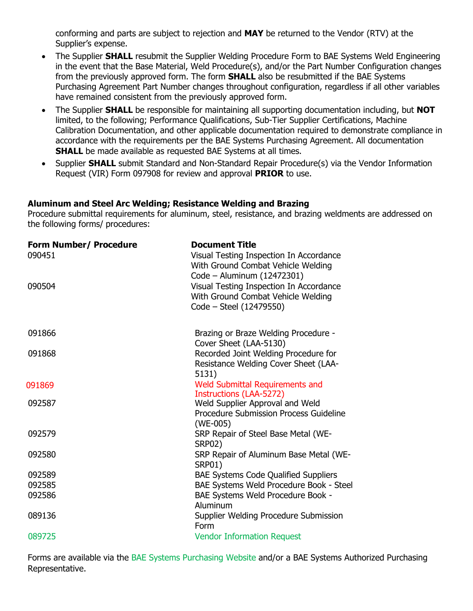conforming and parts are subject to rejection and **MAY** be returned to the Vendor (RTV) at the Supplier's expense.

- The Supplier **SHALL** resubmit the Supplier Welding Procedure Form to BAE Systems Weld Engineering in the event that the Base Material, Weld Procedure(s), and/or the Part Number Configuration changes from the previously approved form. The form **SHALL** also be resubmitted if the BAE Systems Purchasing Agreement Part Number changes throughout configuration, regardless if all other variables have remained consistent from the previously approved form.
- The Supplier **SHALL** be responsible for maintaining all supporting documentation including, but **NOT** limited, to the following; Performance Qualifications, Sub-Tier Supplier Certifications, Machine Calibration Documentation, and other applicable documentation required to demonstrate compliance in accordance with the requirements per the BAE Systems Purchasing Agreement. All documentation **SHALL** be made available as requested BAE Systems at all times.
- Supplier **SHALL** submit Standard and Non-Standard Repair Procedure(s) via the Vendor Information Request (VIR) Form 097908 for review and approval **PRIOR** to use.

#### **Aluminum and Steel Arc Welding; Resistance Welding and Brazing**

Procedure submittal requirements for aluminum, steel, resistance, and brazing weldments are addressed on the following forms/ procedures:

| <b>Form Number/ Procedure</b><br>090451 | <b>Document Title</b><br>Visual Testing Inspection In Accordance<br>With Ground Combat Vehicle Welding<br>Code - Aluminum (12472301) |
|-----------------------------------------|--------------------------------------------------------------------------------------------------------------------------------------|
| 090504                                  | Visual Testing Inspection In Accordance<br>With Ground Combat Vehicle Welding<br>Code - Steel (12479550)                             |
| 091866                                  | Brazing or Braze Welding Procedure -<br>Cover Sheet (LAA-5130)                                                                       |
| 091868                                  | Recorded Joint Welding Procedure for<br>Resistance Welding Cover Sheet (LAA-<br>5131)                                                |
| 091869                                  | <b>Weld Submittal Requirements and</b><br><b>Instructions (LAA-5272)</b>                                                             |
| 092587                                  | Weld Supplier Approval and Weld<br><b>Procedure Submission Process Guideline</b><br>$(WE-005)$                                       |
| 092579                                  | SRP Repair of Steel Base Metal (WE-<br><b>SRP02)</b>                                                                                 |
| 092580                                  | SRP Repair of Aluminum Base Metal (WE-<br><b>SRP01)</b>                                                                              |
| 092589                                  | <b>BAE Systems Code Qualified Suppliers</b>                                                                                          |
| 092585                                  | BAE Systems Weld Procedure Book - Steel                                                                                              |
| 092586                                  | BAE Systems Weld Procedure Book -<br>Aluminum                                                                                        |
| 089136                                  | Supplier Welding Procedure Submission<br>Form                                                                                        |
| 089725                                  | <b>Vendor Information Request</b>                                                                                                    |

Forms are available via the BAE Systems Purchasing Website and/or a BAE Systems Authorized Purchasing Representative.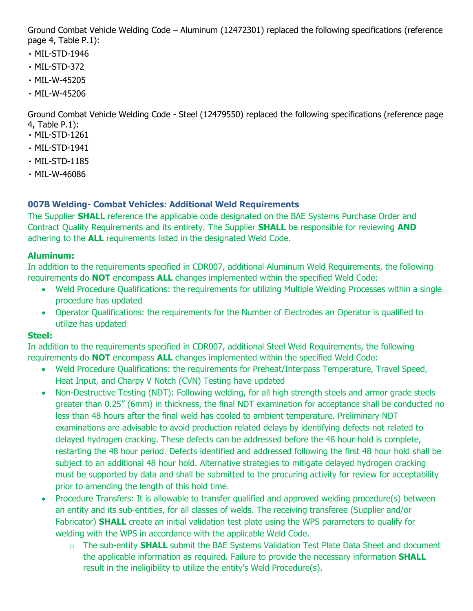Ground Combat Vehicle Welding Code – Aluminum (12472301) replaced the following specifications (reference page 4, Table P.1):

- MIL-STD-1946
- MIL-STD-372
- MIL-W-45205
- MIL-W-45206

Ground Combat Vehicle Welding Code - Steel (12479550) replaced the following specifications (reference page 4, Table P.1):

- MIL-STD-1261
- MIL-STD-1941
- MIL-STD-1185
- MIL-W-46086

## **007B Welding- Combat Vehicles: Additional Weld Requirements**

The Supplier **SHALL** reference the applicable code designated on the BAE Systems Purchase Order and Contract Quality Requirements and its entirety. The Supplier **SHALL** be responsible for reviewing **AND** adhering to the **ALL** requirements listed in the designated Weld Code.

## **Aluminum:**

In addition to the requirements specified in CDR007, additional Aluminum Weld Requirements, the following requirements do **NOT** encompass **ALL** changes implemented within the specified Weld Code:

- Weld Procedure Qualifications: the requirements for utilizing Multiple Welding Processes within a single procedure has updated
- Operator Qualifications: the requirements for the Number of Electrodes an Operator is qualified to utilize has updated

## **Steel:**

In addition to the requirements specified in CDR007, additional Steel Weld Requirements, the following requirements do **NOT** encompass **ALL** changes implemented within the specified Weld Code:

- Weld Procedure Qualifications: the requirements for Preheat/Interpass Temperature, Travel Speed, Heat Input, and Charpy V Notch (CVN) Testing have updated
- Non-Destructive Testing (NDT): Following welding, for all high strength steels and armor grade steels greater than 0.25" (6mm) in thickness, the final NDT examination for acceptance shall be conducted no less than 48 hours after the final weld has cooled to ambient temperature. Preliminary NDT examinations are advisable to avoid production related delays by identifying defects not related to delayed hydrogen cracking. These defects can be addressed before the 48 hour hold is complete, restarting the 48 hour period. Defects identified and addressed following the first 48 hour hold shall be subject to an additional 48 hour hold. Alternative strategies to mitigate delayed hydrogen cracking must be supported by data and shall be submitted to the procuring activity for review for acceptability prior to amending the length of this hold time.
- Procedure Transfers: It is allowable to transfer qualified and approved welding procedure(s) between an entity and its sub-entities, for all classes of welds. The receiving transferee (Supplier and/or Fabricator) **SHALL** create an initial validation test plate using the WPS parameters to qualify for welding with the WPS in accordance with the applicable Weld Code.
	- o The sub-entity **SHALL** submit the BAE Systems Validation Test Plate Data Sheet and document the applicable information as required. Failure to provide the necessary information **SHALL** result in the ineligibility to utilize the entity's Weld Procedure(s).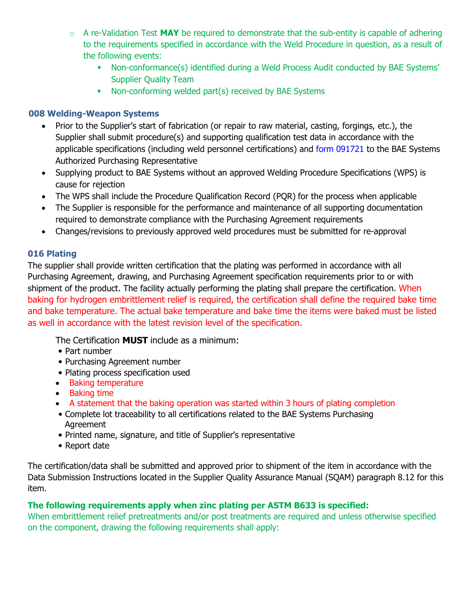- $\circ$  A re-Validation Test **MAY** be required to demonstrate that the sub-entity is capable of adhering to the requirements specified in accordance with the Weld Procedure in question, as a result of the following events:
	- Non-conformance(s) identified during a Weld Process Audit conducted by BAE Systems' Supplier Quality Team
	- Non-conforming welded part(s) received by BAE Systems

#### **008 Welding-Weapon Systems**

- Prior to the Supplier's start of fabrication (or repair to raw material, casting, forgings, etc.), the Supplier shall submit procedure(s) and supporting qualification test data in accordance with the applicable specifications (including weld personnel certifications) and form 091721 to the BAE Systems Authorized Purchasing Representative
- Supplying product to BAE Systems without an approved Welding Procedure Specifications (WPS) is cause for rejection
- The WPS shall include the Procedure Qualification Record (PQR) for the process when applicable
- The Supplier is responsible for the performance and maintenance of all supporting documentation required to demonstrate compliance with the Purchasing Agreement requirements
- Changes/revisions to previously approved weld procedures must be submitted for re-approval

#### **016 Plating**

The supplier shall provide written certification that the plating was performed in accordance with all Purchasing Agreement, drawing, and Purchasing Agreement specification requirements prior to or with shipment of the product. The facility actually performing the plating shall prepare the certification. When baking for hydrogen embrittlement relief is required, the certification shall define the required bake time and bake temperature. The actual bake temperature and bake time the items were baked must be listed as well in accordance with the latest revision level of the specification.

The Certification **MUST** include as a minimum:

- Part number
- Purchasing Agreement number
- Plating process specification used
- Baking temperature
- Baking time
- A statement that the baking operation was started within 3 hours of plating completion
- Complete lot traceability to all certifications related to the BAE Systems Purchasing Agreement
- Printed name, signature, and title of Supplier's representative
- Report date

The certification/data shall be submitted and approved prior to shipment of the item in accordance with the Data Submission Instructions located in the Supplier Quality Assurance Manual (SQAM) paragraph 8.12 for this item.

#### **The following requirements apply when zinc plating per ASTM B633 is specified:**

When embrittlement relief pretreatments and/or post treatments are required and unless otherwise specified on the component, drawing the following requirements shall apply: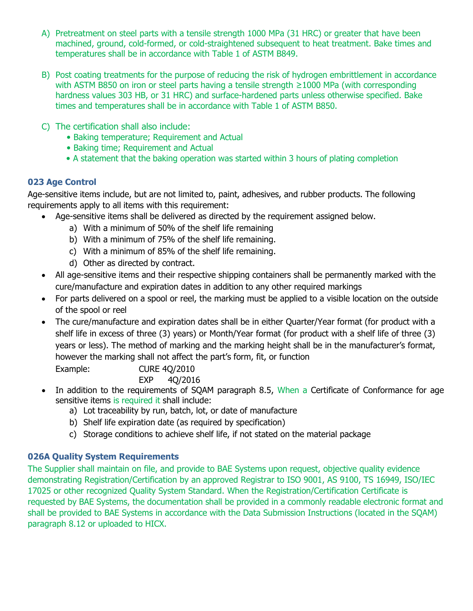- A) Pretreatment on steel parts with a tensile strength 1000 MPa (31 HRC) or greater that have been machined, ground, cold-formed, or cold-straightened subsequent to heat treatment. Bake times and temperatures shall be in accordance with Table 1 of ASTM B849.
- B) Post coating treatments for the purpose of reducing the risk of hydrogen embrittlement in accordance with ASTM B850 on iron or steel parts having a tensile strength ≥1000 MPa (with corresponding hardness values 303 HB, or 31 HRC) and surface-hardened parts unless otherwise specified. Bake times and temperatures shall be in accordance with Table 1 of ASTM B850.
- C) The certification shall also include:
	- Baking temperature; Requirement and Actual
	- Baking time; Requirement and Actual
	- A statement that the baking operation was started within 3 hours of plating completion

### **023 Age Control**

Age-sensitive items include, but are not limited to, paint, adhesives, and rubber products. The following requirements apply to all items with this requirement:

- Age-sensitive items shall be delivered as directed by the requirement assigned below.
	- a) With a minimum of 50% of the shelf life remaining
	- b) With a minimum of 75% of the shelf life remaining.
	- c) With a minimum of 85% of the shelf life remaining.
	- d) Other as directed by contract.
- All age-sensitive items and their respective shipping containers shall be permanently marked with the cure/manufacture and expiration dates in addition to any other required markings
- For parts delivered on a spool or reel, the marking must be applied to a visible location on the outside of the spool or reel
- The cure/manufacture and expiration dates shall be in either Quarter/Year format (for product with a shelf life in excess of three (3) years) or Month/Year format (for product with a shelf life of three (3) years or less). The method of marking and the marking height shall be in the manufacturer's format, however the marking shall not affect the part's form, fit, or function

Example: CURE 4Q/2010

EXP 4Q/2016

- In addition to the requirements of SQAM paragraph 8.5, When a Certificate of Conformance for age sensitive items is required it shall include:
	- a) Lot traceability by run, batch, lot, or date of manufacture
	- b) Shelf life expiration date (as required by specification)
	- c) Storage conditions to achieve shelf life, if not stated on the material package

## **026A Quality System Requirements**

The Supplier shall maintain on file, and provide to BAE Systems upon request, objective quality evidence demonstrating Registration/Certification by an approved Registrar to ISO 9001, AS 9100, TS 16949, ISO/IEC 17025 or other recognized Quality System Standard. When the Registration/Certification Certificate is requested by BAE Systems, the documentation shall be provided in a commonly readable electronic format and shall be provided to BAE Systems in accordance with the Data Submission Instructions (located in the SQAM) paragraph 8.12 or uploaded to HICX.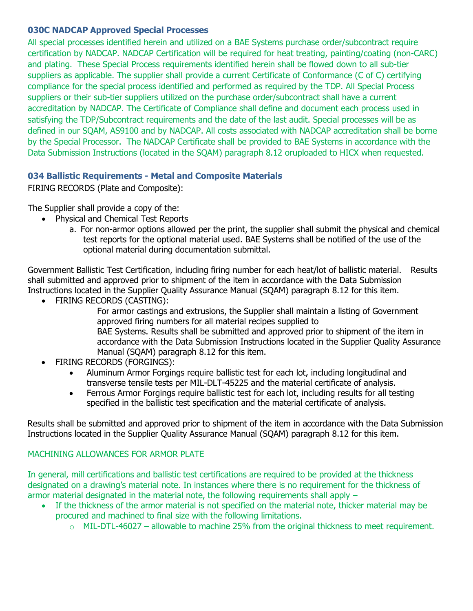#### **030C NADCAP Approved Special Processes**

All special processes identified herein and utilized on a BAE Systems purchase order/subcontract require certification by NADCAP. NADCAP Certification will be required for heat treating, painting/coating (non-CARC) and plating. These Special Process requirements identified herein shall be flowed down to all sub-tier suppliers as applicable. The supplier shall provide a current Certificate of Conformance (C of C) certifying compliance for the special process identified and performed as required by the TDP. All Special Process suppliers or their sub-tier suppliers utilized on the purchase order/subcontract shall have a current accreditation by NADCAP. The Certificate of Compliance shall define and document each process used in satisfying the TDP/Subcontract requirements and the date of the last audit. Special processes will be as defined in our SQAM, AS9100 and by NADCAP. All costs associated with NADCAP accreditation shall be borne by the Special Processor. The NADCAP Certificate shall be provided to BAE Systems in accordance with the Data Submission Instructions (located in the SQAM) paragraph 8.12 oruploaded to HICX when requested.

### **034 Ballistic Requirements - Metal and Composite Materials**

FIRING RECORDS (Plate and Composite):

The Supplier shall provide a copy of the:

- Physical and Chemical Test Reports
	- a. For non-armor options allowed per the print, the supplier shall submit the physical and chemical test reports for the optional material used. BAE Systems shall be notified of the use of the optional material during documentation submittal.

Government Ballistic Test Certification, including firing number for each heat/lot of ballistic material. Results shall submitted and approved prior to shipment of the item in accordance with the Data Submission Instructions located in the Supplier Quality Assurance Manual (SQAM) paragraph 8.12 for this item.

• FIRING RECORDS (CASTING):

For armor castings and extrusions, the Supplier shall maintain a listing of Government approved firing numbers for all material recipes supplied to BAE Systems. Results shall be submitted and approved prior to shipment of the item in accordance with the Data Submission Instructions located in the Supplier Quality Assurance Manual (SQAM) paragraph 8.12 for this item.

- FIRING RECORDS (FORGINGS):
	- Aluminum Armor Forgings require ballistic test for each lot, including longitudinal and transverse tensile tests per MIL-DLT-45225 and the material certificate of analysis.
	- Ferrous Armor Forgings require ballistic test for each lot, including results for all testing specified in the ballistic test specification and the material certificate of analysis.

Results shall be submitted and approved prior to shipment of the item in accordance with the Data Submission Instructions located in the Supplier Quality Assurance Manual (SQAM) paragraph 8.12 for this item.

## MACHINING ALLOWANCES FOR ARMOR PLATE

In general, mill certifications and ballistic test certifications are required to be provided at the thickness designated on a drawing's material note. In instances where there is no requirement for the thickness of armor material designated in the material note, the following requirements shall apply –

- If the thickness of the armor material is not specified on the material note, thicker material may be procured and machined to final size with the following limitations.
	- $\circ$  MIL-DTL-46027 allowable to machine 25% from the original thickness to meet requirement.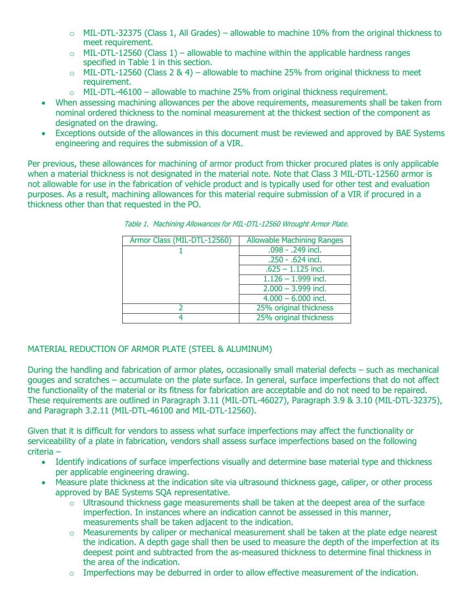- $\circ$  MIL-DTL-32375 (Class 1, All Grades) allowable to machine 10% from the original thickness to meet requirement.
- $\circ$  MIL-DTL-12560 (Class 1) allowable to machine within the applicable hardness ranges specified in Table 1 in this section.
- $\circ$  MIL-DTL-12560 (Class 2 & 4) allowable to machine 25% from original thickness to meet requirement.
- $\circ$  MIL-DTL-46100 allowable to machine 25% from original thickness requirement.
- When assessing machining allowances per the above requirements, measurements shall be taken from nominal ordered thickness to the nominal measurement at the thickest section of the component as designated on the drawing.
- Exceptions outside of the allowances in this document must be reviewed and approved by BAE Systems engineering and requires the submission of a VIR.

Per previous, these allowances for machining of armor product from thicker procured plates is only applicable when a material thickness is not designated in the material note. Note that Class 3 MIL-DTL-12560 armor is not allowable for use in the fabrication of vehicle product and is typically used for other test and evaluation purposes. As a result, machining allowances for this material require submission of a VIR if procured in a thickness other than that requested in the PO.

| Armor Class (MIL-DTL-12560) | <b>Allowable Machining Ranges</b> |
|-----------------------------|-----------------------------------|
|                             | .098 - .249 incl.                 |
|                             | .250 - .624 incl.                 |
|                             | $.625 - 1.125$ incl.              |
|                             | $1.126 - 1.999$ incl.             |
|                             | $2.000 - 3.999$ incl.             |
|                             | $\overline{4.000} - 6.000$ incl.  |
|                             | 25% original thickness            |
|                             | 25% original thickness            |

Table 1. Machining Allowances for MIL-DTL-12560 Wrought Armor Plate.

#### MATERIAL REDUCTION OF ARMOR PLATE (STEEL & ALUMINUM)

During the handling and fabrication of armor plates, occasionally small material defects – such as mechanical gouges and scratches – accumulate on the plate surface. In general, surface imperfections that do not affect the functionality of the material or its fitness for fabrication are acceptable and do not need to be repaired. These requirements are outlined in Paragraph 3.11 (MIL-DTL-46027), Paragraph 3.9 & 3.10 (MIL-DTL-32375), and Paragraph 3.2.11 (MIL-DTL-46100 and MIL-DTL-12560).

Given that it is difficult for vendors to assess what surface imperfections may affect the functionality or serviceability of a plate in fabrication, vendors shall assess surface imperfections based on the following criteria –

- Identify indications of surface imperfections visually and determine base material type and thickness per applicable engineering drawing.
- Measure plate thickness at the indication site via ultrasound thickness gage, caliper, or other process approved by BAE Systems SQA representative.
	- $\circ$  Ultrasound thickness gage measurements shall be taken at the deepest area of the surface imperfection. In instances where an indication cannot be assessed in this manner, measurements shall be taken adjacent to the indication.
	- $\circ$  Measurements by caliper or mechanical measurement shall be taken at the plate edge nearest the indication. A depth gage shall then be used to measure the depth of the imperfection at its deepest point and subtracted from the as-measured thickness to determine final thickness in the area of the indication.
	- $\circ$  Imperfections may be deburred in order to allow effective measurement of the indication.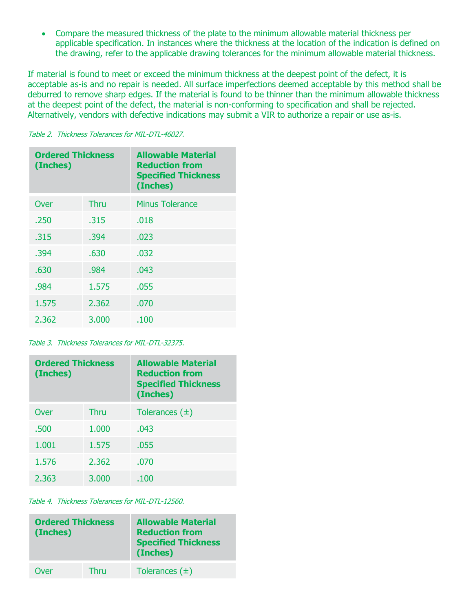• Compare the measured thickness of the plate to the minimum allowable material thickness per applicable specification. In instances where the thickness at the location of the indication is defined on the drawing, refer to the applicable drawing tolerances for the minimum allowable material thickness.

If material is found to meet or exceed the minimum thickness at the deepest point of the defect, it is acceptable as-is and no repair is needed. All surface imperfections deemed acceptable by this method shall be deburred to remove sharp edges. If the material is found to be thinner than the minimum allowable thickness at the deepest point of the defect, the material is non-conforming to specification and shall be rejected. Alternatively, vendors with defective indications may submit a VIR to authorize a repair or use as-is.

|  |  |  |  | Table 2. Thickness Tolerances for MIL-DTL-46027. |
|--|--|--|--|--------------------------------------------------|
|--|--|--|--|--------------------------------------------------|

| <b>Ordered Thickness</b><br>(Inches) |       | <b>Allowable Material</b><br><b>Reduction from</b><br><b>Specified Thickness</b><br>(Inches) |
|--------------------------------------|-------|----------------------------------------------------------------------------------------------|
| Over                                 | Thru  | <b>Minus Tolerance</b>                                                                       |
| .250                                 | .315  | .018                                                                                         |
| .315                                 | .394  | .023                                                                                         |
| .394                                 | .630  | .032                                                                                         |
| .630                                 | .984  | .043                                                                                         |
| .984                                 | 1.575 | .055                                                                                         |
| 1.575                                | 2.362 | .070                                                                                         |
| 2.362                                | 3.000 | .100                                                                                         |

Table 3. Thickness Tolerances for MIL-DTL-32375.

| <b>Ordered Thickness</b><br>(Inches) |             | <b>Allowable Material</b><br><b>Reduction from</b><br><b>Specified Thickness</b><br>(Inches) |
|--------------------------------------|-------------|----------------------------------------------------------------------------------------------|
| Over                                 | <b>Thru</b> | Tolerances $(\pm)$                                                                           |
| .500                                 | 1.000       | .043                                                                                         |
| 1.001                                | 1.575       | .055                                                                                         |
| 1.576                                | 2.362       | .070                                                                                         |
| 2.363                                | 3.000       | .100                                                                                         |

Table 4. Thickness Tolerances for MIL-DTL-12560.

| <b>Ordered Thickness</b><br>(Inches) |      | <b>Allowable Material</b><br><b>Reduction from</b><br><b>Specified Thickness</b><br>(Inches) |
|--------------------------------------|------|----------------------------------------------------------------------------------------------|
| Over                                 | Thru | Tolerances $(\pm)$                                                                           |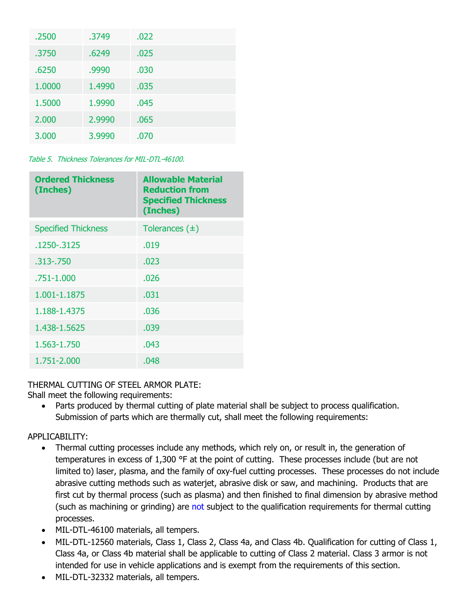| .2500  | .3749  | .022 |
|--------|--------|------|
| .3750  | .6249  | .025 |
| .6250  | .9990  | .030 |
| 1.0000 | 1.4990 | .035 |
| 1.5000 | 1.9990 | .045 |
| 2.000  | 2.9990 | .065 |
| 3.000  | 3.9990 | .070 |

Table 5. Thickness Tolerances for MIL-DTL-46100.

| <b>Ordered Thickness</b><br>(Inches) | <b>Allowable Material</b><br><b>Reduction from</b><br><b>Specified Thickness</b><br>(Inches) |
|--------------------------------------|----------------------------------------------------------------------------------------------|
| <b>Specified Thickness</b>           | Tolerances $(\pm)$                                                                           |
| .1250-.3125                          | .019                                                                                         |
| .313 - .750                          | .023                                                                                         |
| .751-1.000                           | .026                                                                                         |
| 1.001-1.1875                         | .031                                                                                         |
| 1.188-1.4375                         | .036                                                                                         |
| 1.438-1.5625                         | .039                                                                                         |
| 1.563-1.750                          | .043                                                                                         |
| 1.751-2.000                          | .048                                                                                         |

## THERMAL CUTTING OF STEEL ARMOR PLATE:

Shall meet the following requirements:

• Parts produced by thermal cutting of plate material shall be subject to process qualification. Submission of parts which are thermally cut, shall meet the following requirements:

## APPLICABILITY:

- Thermal cutting processes include any methods, which rely on, or result in, the generation of temperatures in excess of 1,300 °F at the point of cutting. These processes include (but are not limited to) laser, plasma, and the family of oxy-fuel cutting processes. These processes do not include abrasive cutting methods such as waterjet, abrasive disk or saw, and machining. Products that are first cut by thermal process (such as plasma) and then finished to final dimension by abrasive method (such as machining or grinding) are not subject to the qualification requirements for thermal cutting processes.
- MIL-DTL-46100 materials, all tempers.
- MIL-DTL-12560 materials, Class 1, Class 2, Class 4a, and Class 4b. Qualification for cutting of Class 1, Class 4a, or Class 4b material shall be applicable to cutting of Class 2 material. Class 3 armor is not intended for use in vehicle applications and is exempt from the requirements of this section.
- MIL-DTL-32332 materials, all tempers.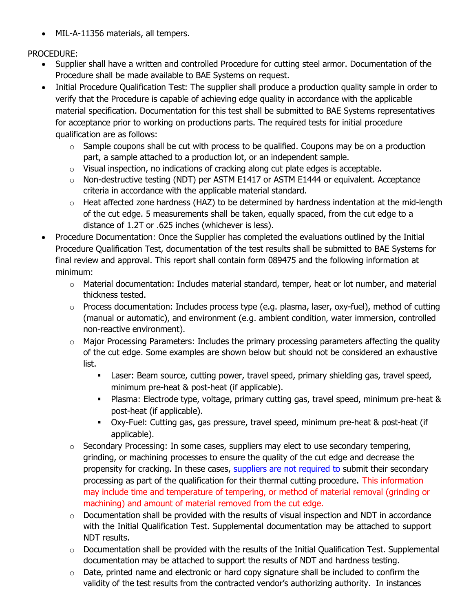• MIL-A-11356 materials, all tempers.

PROCEDURE:

- Supplier shall have a written and controlled Procedure for cutting steel armor. Documentation of the Procedure shall be made available to BAE Systems on request.
- Initial Procedure Qualification Test: The supplier shall produce a production quality sample in order to verify that the Procedure is capable of achieving edge quality in accordance with the applicable material specification. Documentation for this test shall be submitted to BAE Systems representatives for acceptance prior to working on productions parts. The required tests for initial procedure qualification are as follows:
	- $\circ$  Sample coupons shall be cut with process to be qualified. Coupons may be on a production part, a sample attached to a production lot, or an independent sample.
	- $\circ$  Visual inspection, no indications of cracking along cut plate edges is acceptable.
	- o Non-destructive testing (NDT) per ASTM E1417 or ASTM E1444 or equivalent. Acceptance criteria in accordance with the applicable material standard.
	- $\circ$  Heat affected zone hardness (HAZ) to be determined by hardness indentation at the mid-length of the cut edge. 5 measurements shall be taken, equally spaced, from the cut edge to a distance of 1.2T or .625 inches (whichever is less).
- Procedure Documentation: Once the Supplier has completed the evaluations outlined by the Initial Procedure Qualification Test, documentation of the test results shall be submitted to BAE Systems for final review and approval. This report shall contain form 089475 and the following information at minimum:
	- o Material documentation: Includes material standard, temper, heat or lot number, and material thickness tested.
	- $\circ$  Process documentation: Includes process type (e.g. plasma, laser, oxy-fuel), method of cutting (manual or automatic), and environment (e.g. ambient condition, water immersion, controlled non-reactive environment).
	- $\circ$  Major Processing Parameters: Includes the primary processing parameters affecting the quality of the cut edge. Some examples are shown below but should not be considered an exhaustive list.
		- Laser: Beam source, cutting power, travel speed, primary shielding gas, travel speed, minimum pre-heat & post-heat (if applicable).
		- Plasma: Electrode type, voltage, primary cutting gas, travel speed, minimum pre-heat & post-heat (if applicable).
		- Oxy-Fuel: Cutting gas, gas pressure, travel speed, minimum pre-heat & post-heat (if applicable).
	- $\circ$  Secondary Processing: In some cases, suppliers may elect to use secondary tempering, grinding, or machining processes to ensure the quality of the cut edge and decrease the propensity for cracking. In these cases, suppliers are not required to submit their secondary processing as part of the qualification for their thermal cutting procedure. This information may include time and temperature of tempering, or method of material removal (grinding or machining) and amount of material removed from the cut edge.
	- $\circ$  Documentation shall be provided with the results of visual inspection and NDT in accordance with the Initial Qualification Test. Supplemental documentation may be attached to support NDT results.
	- $\circ$  Documentation shall be provided with the results of the Initial Qualification Test. Supplemental documentation may be attached to support the results of NDT and hardness testing.
	- $\circ$  Date, printed name and electronic or hard copy signature shall be included to confirm the validity of the test results from the contracted vendor's authorizing authority. In instances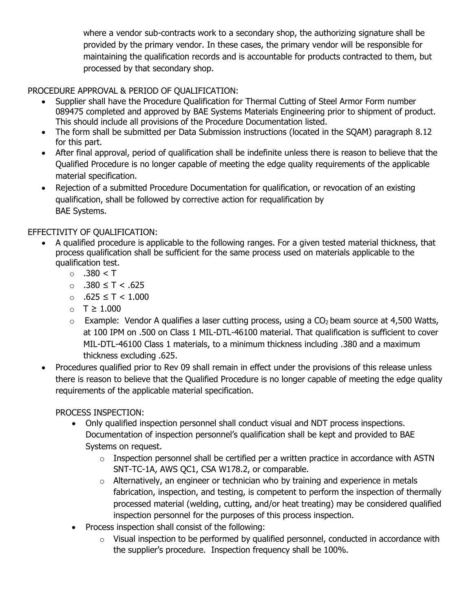where a vendor sub-contracts work to a secondary shop, the authorizing signature shall be provided by the primary vendor. In these cases, the primary vendor will be responsible for maintaining the qualification records and is accountable for products contracted to them, but processed by that secondary shop.

PROCEDURE APPROVAL & PERIOD OF QUALIFICATION:

- Supplier shall have the Procedure Qualification for Thermal Cutting of Steel Armor Form number 089475 completed and approved by BAE Systems Materials Engineering prior to shipment of product. This should include all provisions of the Procedure Documentation listed.
- The form shall be submitted per Data Submission instructions (located in the SOAM) paragraph 8.12 for this part.
- After final approval, period of qualification shall be indefinite unless there is reason to believe that the Qualified Procedure is no longer capable of meeting the edge quality requirements of the applicable material specification.
- Rejection of a submitted Procedure Documentation for qualification, or revocation of an existing qualification, shall be followed by corrective action for requalification by BAE Systems.

## EFFECTIVITY OF QUALIFICATION:

- A qualified procedure is applicable to the following ranges. For a given tested material thickness, that process qualification shall be sufficient for the same process used on materials applicable to the qualification test.
	- $\circ$  .380 < T
	- o .380 ≤ T < .625
	- o .625 ≤ T < 1.000
	- o T ≥ 1.000
	- $\circ$  Example: Vendor A qualifies a laser cutting process, using a CO<sub>2</sub> beam source at 4,500 Watts, at 100 IPM on .500 on Class 1 MIL-DTL-46100 material. That qualification is sufficient to cover MIL-DTL-46100 Class 1 materials, to a minimum thickness including .380 and a maximum thickness excluding .625.
- Procedures qualified prior to Rev 09 shall remain in effect under the provisions of this release unless there is reason to believe that the Qualified Procedure is no longer capable of meeting the edge quality requirements of the applicable material specification.

PROCESS INSPECTION:

- Only qualified inspection personnel shall conduct visual and NDT process inspections. Documentation of inspection personnel's qualification shall be kept and provided to BAE Systems on request.
	- o Inspection personnel shall be certified per a written practice in accordance with ASTN SNT-TC-1A, AWS QC1, CSA W178.2, or comparable.
	- $\circ$  Alternatively, an engineer or technician who by training and experience in metals fabrication, inspection, and testing, is competent to perform the inspection of thermally processed material (welding, cutting, and/or heat treating) may be considered qualified inspection personnel for the purposes of this process inspection.
- Process inspection shall consist of the following:
	- o Visual inspection to be performed by qualified personnel, conducted in accordance with the supplier's procedure. Inspection frequency shall be 100%.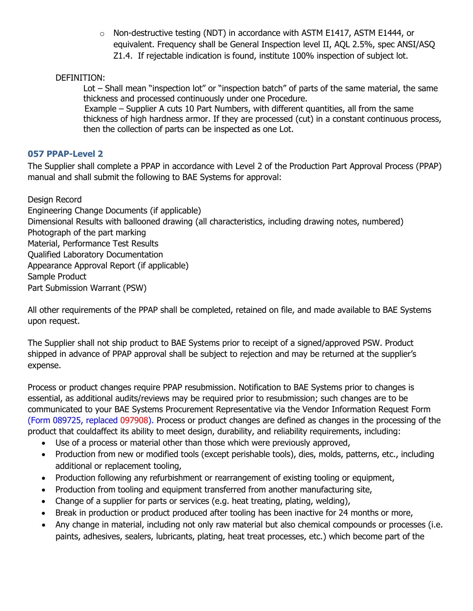$\circ$  Non-destructive testing (NDT) in accordance with ASTM E1417, ASTM E1444, or equivalent. Frequency shall be General Inspection level II, AQL 2.5%, spec ANSI/ASQ Z1.4. If rejectable indication is found, institute 100% inspection of subject lot.

DEFINITION:

Lot – Shall mean "inspection lot" or "inspection batch" of parts of the same material, the same thickness and processed continuously under one Procedure.

Example – Supplier A cuts 10 Part Numbers, with different quantities, all from the same thickness of high hardness armor. If they are processed (cut) in a constant continuous process, then the collection of parts can be inspected as one Lot.

### **057 PPAP-Level 2**

The Supplier shall complete a PPAP in accordance with Level 2 of the Production Part Approval Process (PPAP) manual and shall submit the following to BAE Systems for approval:

Design Record Engineering Change Documents (if applicable) Dimensional Results with ballooned drawing (all characteristics, including drawing notes, numbered) Photograph of the part marking Material, Performance Test Results Qualified Laboratory Documentation Appearance Approval Report (if applicable) Sample Product Part Submission Warrant (PSW)

All other requirements of the PPAP shall be completed, retained on file, and made available to BAE Systems upon request.

The Supplier shall not ship product to BAE Systems prior to receipt of a signed/approved PSW. Product shipped in advance of PPAP approval shall be subject to rejection and may be returned at the supplier's expense.

Process or product changes require PPAP resubmission. Notification to BAE Systems prior to changes is essential, as additional audits/reviews may be required prior to resubmission; such changes are to be communicated to your BAE Systems Procurement Representative via the Vendor Information Request Form (Form 089725, replaced 097908). Process or product changes are defined as changes in the processing of the product that couldaffect its ability to meet design, durability, and reliability requirements, including:

- Use of a process or material other than those which were previously approved,
- Production from new or modified tools (except perishable tools), dies, molds, patterns, etc., including additional or replacement tooling,
- Production following any refurbishment or rearrangement of existing tooling or equipment,
- Production from tooling and equipment transferred from another manufacturing site,
- Change of a supplier for parts or services (e.g. heat treating, plating, welding),
- Break in production or product produced after tooling has been inactive for 24 months or more,
- Any change in material, including not only raw material but also chemical compounds or processes (i.e. paints, adhesives, sealers, lubricants, plating, heat treat processes, etc.) which become part of the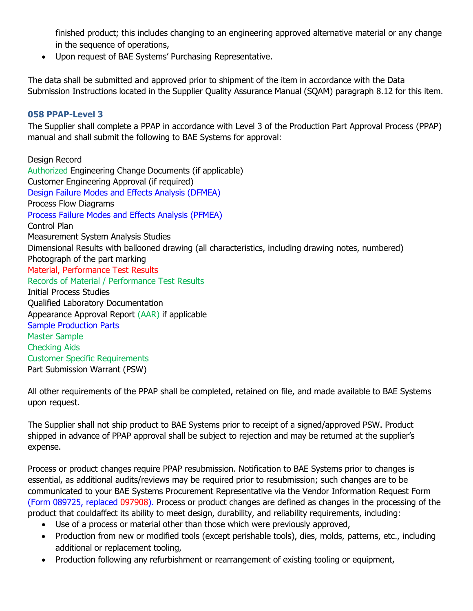finished product; this includes changing to an engineering approved alternative material or any change in the sequence of operations,

• Upon request of BAE Systems' Purchasing Representative.

The data shall be submitted and approved prior to shipment of the item in accordance with the Data Submission Instructions located in the Supplier Quality Assurance Manual (SQAM) paragraph 8.12 for this item.

#### **058 PPAP-Level 3**

The Supplier shall complete a PPAP in accordance with Level 3 of the Production Part Approval Process (PPAP) manual and shall submit the following to BAE Systems for approval:

Design Record Authorized Engineering Change Documents (if applicable) Customer Engineering Approval (if required) Design Failure Modes and Effects Analysis (DFMEA) Process Flow Diagrams Process Failure Modes and Effects Analysis (PFMEA) Control Plan Measurement System Analysis Studies Dimensional Results with ballooned drawing (all characteristics, including drawing notes, numbered) Photograph of the part marking Material, Performance Test Results Records of Material / Performance Test Results Initial Process Studies Qualified Laboratory Documentation Appearance Approval Report (AAR) if applicable Sample Production Parts Master Sample Checking Aids Customer Specific Requirements Part Submission Warrant (PSW)

All other requirements of the PPAP shall be completed, retained on file, and made available to BAE Systems upon request.

The Supplier shall not ship product to BAE Systems prior to receipt of a signed/approved PSW. Product shipped in advance of PPAP approval shall be subject to rejection and may be returned at the supplier's expense.

Process or product changes require PPAP resubmission. Notification to BAE Systems prior to changes is essential, as additional audits/reviews may be required prior to resubmission; such changes are to be communicated to your BAE Systems Procurement Representative via the Vendor Information Request Form (Form 089725, replaced 097908). Process or product changes are defined as changes in the processing of the product that couldaffect its ability to meet design, durability, and reliability requirements, including:

- Use of a process or material other than those which were previously approved,
- Production from new or modified tools (except perishable tools), dies, molds, patterns, etc., including additional or replacement tooling,
- Production following any refurbishment or rearrangement of existing tooling or equipment,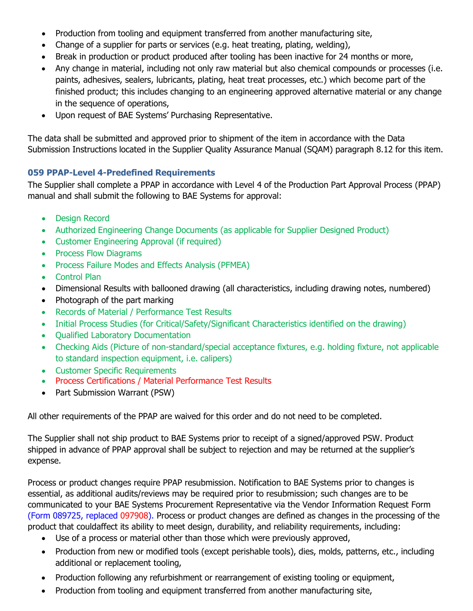- Production from tooling and equipment transferred from another manufacturing site,
- Change of a supplier for parts or services (e.g. heat treating, plating, welding),
- Break in production or product produced after tooling has been inactive for 24 months or more,
- Any change in material, including not only raw material but also chemical compounds or processes (i.e. paints, adhesives, sealers, lubricants, plating, heat treat processes, etc.) which become part of the finished product; this includes changing to an engineering approved alternative material or any change in the sequence of operations,
- Upon request of BAE Systems' Purchasing Representative.

The data shall be submitted and approved prior to shipment of the item in accordance with the Data Submission Instructions located in the Supplier Quality Assurance Manual (SQAM) paragraph 8.12 for this item.

## **059 PPAP-Level 4-Predefined Requirements**

The Supplier shall complete a PPAP in accordance with Level 4 of the Production Part Approval Process (PPAP) manual and shall submit the following to BAE Systems for approval:

- Design Record
- Authorized Engineering Change Documents (as applicable for Supplier Designed Product)
- Customer Engineering Approval (if required)
- Process Flow Diagrams
- Process Failure Modes and Effects Analysis (PFMEA)
- Control Plan
- Dimensional Results with ballooned drawing (all characteristics, including drawing notes, numbered)
- Photograph of the part marking
- Records of Material / Performance Test Results
- Initial Process Studies (for Critical/Safety/Significant Characteristics identified on the drawing)
- Qualified Laboratory Documentation
- Checking Aids (Picture of non-standard/special acceptance fixtures, e.g. holding fixture, not applicable to standard inspection equipment, i.e. calipers)
- Customer Specific Requirements
- Process Certifications / Material Performance Test Results
- Part Submission Warrant (PSW)

All other requirements of the PPAP are waived for this order and do not need to be completed.

The Supplier shall not ship product to BAE Systems prior to receipt of a signed/approved PSW. Product shipped in advance of PPAP approval shall be subject to rejection and may be returned at the supplier's expense.

Process or product changes require PPAP resubmission. Notification to BAE Systems prior to changes is essential, as additional audits/reviews may be required prior to resubmission; such changes are to be communicated to your BAE Systems Procurement Representative via the Vendor Information Request Form (Form 089725, replaced 097908). Process or product changes are defined as changes in the processing of the product that couldaffect its ability to meet design, durability, and reliability requirements, including:

- Use of a process or material other than those which were previously approved,
- Production from new or modified tools (except perishable tools), dies, molds, patterns, etc., including additional or replacement tooling,
- Production following any refurbishment or rearrangement of existing tooling or equipment,
- Production from tooling and equipment transferred from another manufacturing site,